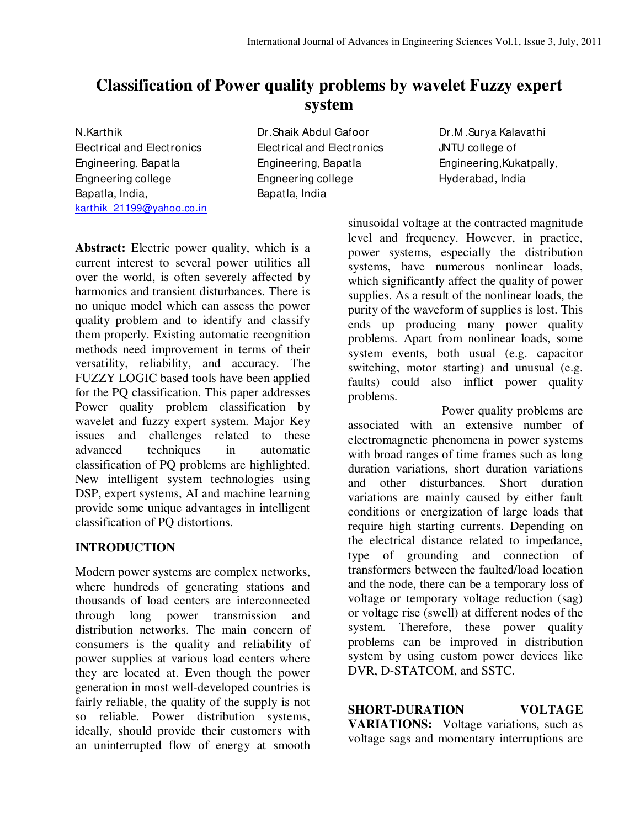# **Classification of Power quality problems by wavelet Fuzzy expert system**

N.Karthik Electrical and Electronics Engineering, Bapatla Engneering college Bapatla, India, karthik\_21199@yahoo.co.in Dr.Shaik Abdul Gafoor Electrical and Electronics Engineering, Bapatla Engneering college Bapatla, India

Dr.M .Surya Kalavathi JNTU college of Engineering,Kukatpally, Hyderabad, India

**Abstract:** Electric power quality, which is a current interest to several power utilities all over the world, is often severely affected by harmonics and transient disturbances. There is no unique model which can assess the power quality problem and to identify and classify them properly. Existing automatic recognition methods need improvement in terms of their versatility, reliability, and accuracy. The FUZZY LOGIC based tools have been applied for the PQ classification. This paper addresses Power quality problem classification by wavelet and fuzzy expert system. Major Key issues and challenges related to these advanced techniques in automatic classification of PQ problems are highlighted. New intelligent system technologies using DSP, expert systems, AI and machine learning provide some unique advantages in intelligent classification of PQ distortions.

# **INTRODUCTION**

Modern power systems are complex networks, where hundreds of generating stations and thousands of load centers are interconnected through long power transmission and distribution networks. The main concern of consumers is the quality and reliability of power supplies at various load centers where they are located at. Even though the power generation in most well-developed countries is fairly reliable, the quality of the supply is not so reliable. Power distribution systems, ideally, should provide their customers with an uninterrupted flow of energy at smooth

sinusoidal voltage at the contracted magnitude level and frequency. However, in practice, power systems, especially the distribution systems, have numerous nonlinear loads, which significantly affect the quality of power supplies. As a result of the nonlinear loads, the purity of the waveform of supplies is lost. This ends up producing many power quality problems. Apart from nonlinear loads, some system events, both usual (e.g. capacitor switching, motor starting) and unusual (e.g. faults) could also inflict power quality problems.

 Power quality problems are associated with an extensive number of electromagnetic phenomena in power systems with broad ranges of time frames such as long duration variations, short duration variations and other disturbances. Short duration variations are mainly caused by either fault conditions or energization of large loads that require high starting currents. Depending on the electrical distance related to impedance, type of grounding and connection of transformers between the faulted/load location and the node, there can be a temporary loss of voltage or temporary voltage reduction (sag) or voltage rise (swell) at different nodes of the system. Therefore, these power quality problems can be improved in distribution system by using custom power devices like DVR, D-STATCOM, and SSTC.

**SHORT-DURATION VOLTAGE VARIATIONS:** Voltage variations, such as voltage sags and momentary interruptions are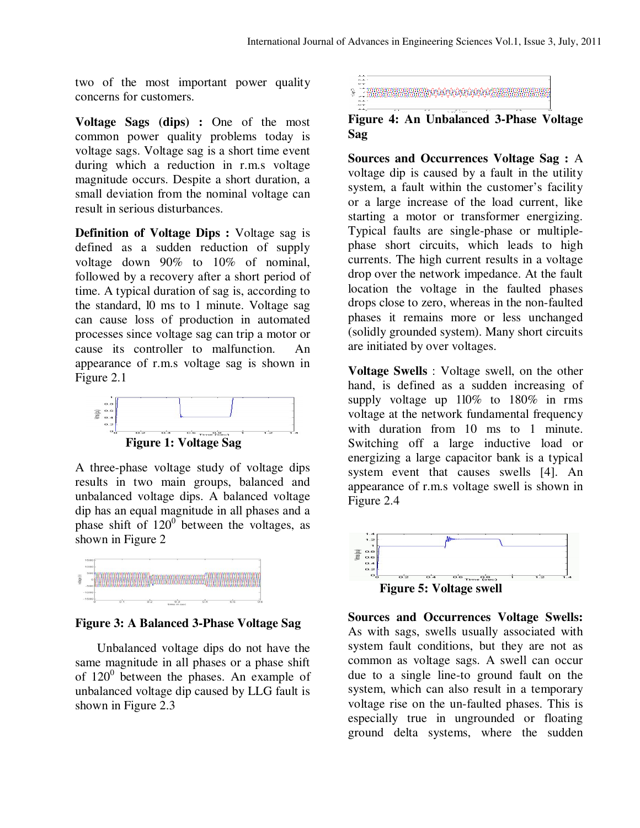two of the most important power quality concerns for customers.

**Voltage Sags (dips) :** One of the most common power quality problems today is voltage sags. Voltage sag is a short time event during which a reduction in r.m.s voltage magnitude occurs. Despite a short duration, a small deviation from the nominal voltage can result in serious disturbances.

**Definition of Voltage Dips :** Voltage sag is defined as a sudden reduction of supply voltage down 90% to 10% of nominal, followed by a recovery after a short period of time. A typical duration of sag is, according to the standard, l0 ms to 1 minute. Voltage sag can cause loss of production in automated processes since voltage sag can trip a motor or cause its controller to malfunction. An appearance of r.m.s voltage sag is shown in Figure 2.1



A three-phase voltage study of voltage dips results in two main groups, balanced and unbalanced voltage dips. A balanced voltage dip has an equal magnitude in all phases and a phase shift of  $120^{\circ}$  between the voltages, as shown in Figure 2



#### **Figure 3: A Balanced 3-Phase Voltage Sag**

 Unbalanced voltage dips do not have the same magnitude in all phases or a phase shift of  $120^0$  between the phases. An example of unbalanced voltage dip caused by LLG fault is shown in Figure 2.3



## **Figure 4: An Unbalanced 3-Phase Voltage Sag**

**Sources and Occurrences Voltage Sag :** A voltage dip is caused by a fault in the utility system, a fault within the customer's facility or a large increase of the load current, like starting a motor or transformer energizing. Typical faults are single-phase or multiplephase short circuits, which leads to high currents. The high current results in a voltage drop over the network impedance. At the fault location the voltage in the faulted phases drops close to zero, whereas in the non-faulted phases it remains more or less unchanged (solidly grounded system). Many short circuits are initiated by over voltages.

**Voltage Swells** : Voltage swell, on the other hand, is defined as a sudden increasing of supply voltage up 1l0% to 180% in rms voltage at the network fundamental frequency with duration from 10 ms to 1 minute. Switching off a large inductive load or energizing a large capacitor bank is a typical system event that causes swells [4]. An appearance of r.m.s voltage swell is shown in Figure 2.4



 **Figure 5: Voltage swell** 

**Sources and Occurrences Voltage Swells:**  As with sags, swells usually associated with system fault conditions, but they are not as common as voltage sags. A swell can occur due to a single line-to ground fault on the system, which can also result in a temporary voltage rise on the un-faulted phases. This is especially true in ungrounded or floating ground delta systems, where the sudden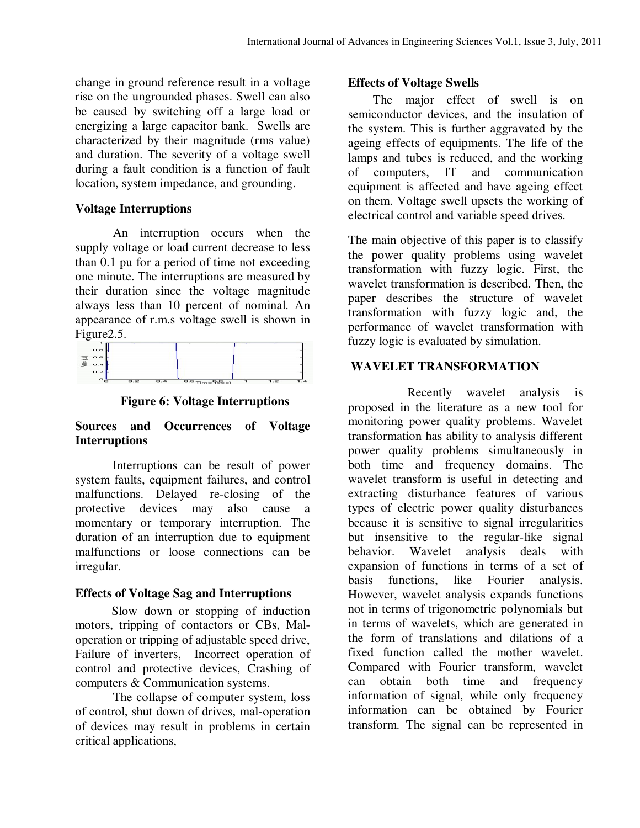change in ground reference result in a voltage rise on the ungrounded phases. Swell can also be caused by switching off a large load or energizing a large capacitor bank. Swells are characterized by their magnitude (rms value) and duration. The severity of a voltage swell during a fault condition is a function of fault location, system impedance, and grounding.

#### **Voltage Interruptions**

 An interruption occurs when the supply voltage or load current decrease to less than 0.1 pu for a period of time not exceeding one minute. The interruptions are measured by their duration since the voltage magnitude always less than 10 percent of nominal. An appearance of r.m.s voltage swell is shown in



**Figure 6: Voltage Interruptions** 

# **Sources and Occurrences of Voltage Interruptions**

 Interruptions can be result of power system faults, equipment failures, and control malfunctions. Delayed re-closing of the protective devices may also cause a momentary or temporary interruption. The duration of an interruption due to equipment malfunctions or loose connections can be irregular.

#### **Effects of Voltage Sag and Interruptions**

 Slow down or stopping of induction motors, tripping of contactors or CBs, Maloperation or tripping of adjustable speed drive, Failure of inverters, Incorrect operation of control and protective devices, Crashing of computers & Communication systems.

 The collapse of computer system, loss of control, shut down of drives, mal-operation of devices may result in problems in certain critical applications,

# **Effects of Voltage Swells**

The major effect of swell is on semiconductor devices, and the insulation of the system. This is further aggravated by the ageing effects of equipments. The life of the lamps and tubes is reduced, and the working of computers, IT and communication equipment is affected and have ageing effect on them. Voltage swell upsets the working of electrical control and variable speed drives.

The main objective of this paper is to classify the power quality problems using wavelet transformation with fuzzy logic. First, the wavelet transformation is described. Then, the paper describes the structure of wavelet transformation with fuzzy logic and, the performance of wavelet transformation with fuzzy logic is evaluated by simulation.

# **WAVELET TRANSFORMATION**

 Recently wavelet analysis is proposed in the literature as a new tool for monitoring power quality problems. Wavelet transformation has ability to analysis different power quality problems simultaneously in both time and frequency domains. The wavelet transform is useful in detecting and extracting disturbance features of various types of electric power quality disturbances because it is sensitive to signal irregularities but insensitive to the regular-like signal behavior. Wavelet analysis deals with expansion of functions in terms of a set of basis functions, like Fourier analysis. However, wavelet analysis expands functions not in terms of trigonometric polynomials but in terms of wavelets, which are generated in the form of translations and dilations of a fixed function called the mother wavelet. Compared with Fourier transform, wavelet can obtain both time and frequency information of signal, while only frequency information can be obtained by Fourier transform. The signal can be represented in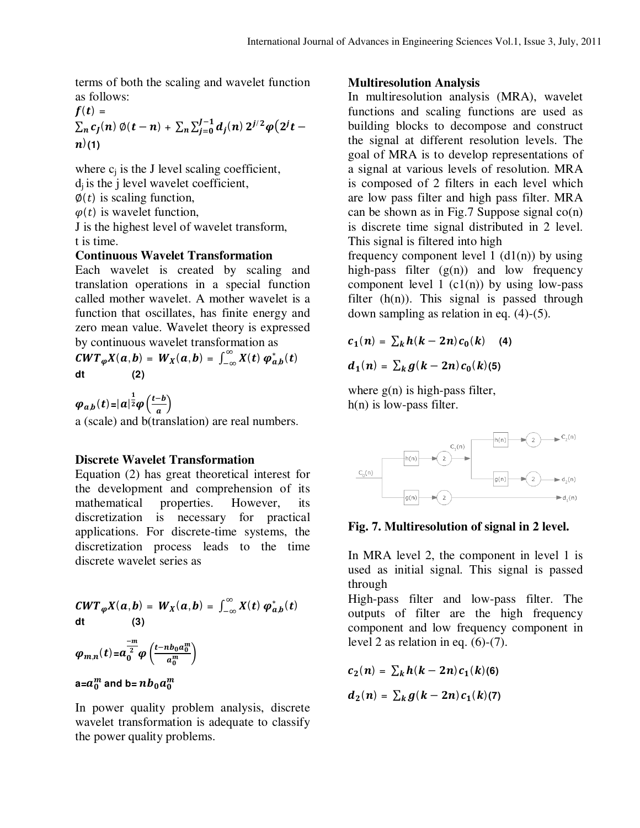terms of both the scaling and wavelet function as follows:

$$
f(t) = \sum_{n} c_j(n) \phi(t - n) + \sum_{n} \sum_{j=0}^{J-1} d_j(n) 2^{j/2} \phi(2^{j} t - n)
$$
  
(1)

where  $c_i$  is the J level scaling coefficient,  $d_i$  is the j level wavelet coefficient,

 $\varphi(t)$  is scaling function,

 $\varphi(t)$  is wavelet function,

J is the highest level of wavelet transform, t is time.

## **Continuous Wavelet Transformation**

Each wavelet is created by scaling and translation operations in a special function called mother wavelet. A mother wavelet is a function that oscillates, has finite energy and zero mean value. Wavelet theory is expressed by continuous wavelet transformation as

 $CWT_{\varphi}X(a,b) = W_X(a,b) = \int_{-\infty}^{\infty} X(t)$  $\sum_{-\infty}^{\infty} X(t) \varphi_{a,b}^*(t)$ **dt (2)** 

 $\varphi_{a,b}(t) = |a|^{\frac{1}{2}} \varphi\left(\frac{t-b}{a}\right)$  $\frac{a}{a}$ a (scale) and b(translation) are real numbers.

# **Discrete Wavelet Transformation**

Equation (2) has great theoretical interest for the development and comprehension of its mathematical properties. However, its discretization is necessary for practical applications. For discrete-time systems, the discretization process leads to the time discrete wavelet series as

$$
CWT_{\varphi}X(a,b) = W_X(a,b) = \int_{-\infty}^{\infty} X(t) \varphi_{a,b}^*(t)
$$
  
dt (3)  

$$
\varphi_{m,n}(t) = a_0^{\frac{-m}{2}} \varphi\left(\frac{t - nb_0 a_0^m}{a_0^m}\right)
$$

# a= $a_0^m$  and b=  $nb_0a_0^m$

In power quality problem analysis, discrete wavelet transformation is adequate to classify the power quality problems.

# **Multiresolution Analysis**

In multiresolution analysis (MRA), wavelet functions and scaling functions are used as building blocks to decompose and construct the signal at different resolution levels. The goal of MRA is to develop representations of a signal at various levels of resolution. MRA is composed of 2 filters in each level which are low pass filter and high pass filter. MRA can be shown as in Fig.7 Suppose signal co(n) is discrete time signal distributed in 2 level. This signal is filtered into high

frequency component level 1  $(d1(n))$  by using high-pass filter  $(g(n))$  and low frequency component level 1  $(c1(n))$  by using low-pass filter  $(h(n))$ . This signal is passed through down sampling as relation in eq. (4)-(5).

$$
c_1(n) = \sum_k h(k-2n) c_0(k) \quad (4)
$$

$$
d_1(n) = \sum_k g(k-2n) c_0(k) (5)
$$

where  $g(n)$  is high-pass filter, h(n) is low-pass filter.



# **Fig. 7. Multiresolution of signal in 2 level.**

In MRA level 2, the component in level 1 is used as initial signal. This signal is passed through

High-pass filter and low-pass filter. The outputs of filter are the high frequency component and low frequency component in level 2 as relation in eq. (6)-(7).

$$
c_2(n) = \sum_k h(k-2n) c_1(k)
$$
 (6)

$$
d_2(n) = \sum_k g(k-2n) c_1(k) (7)
$$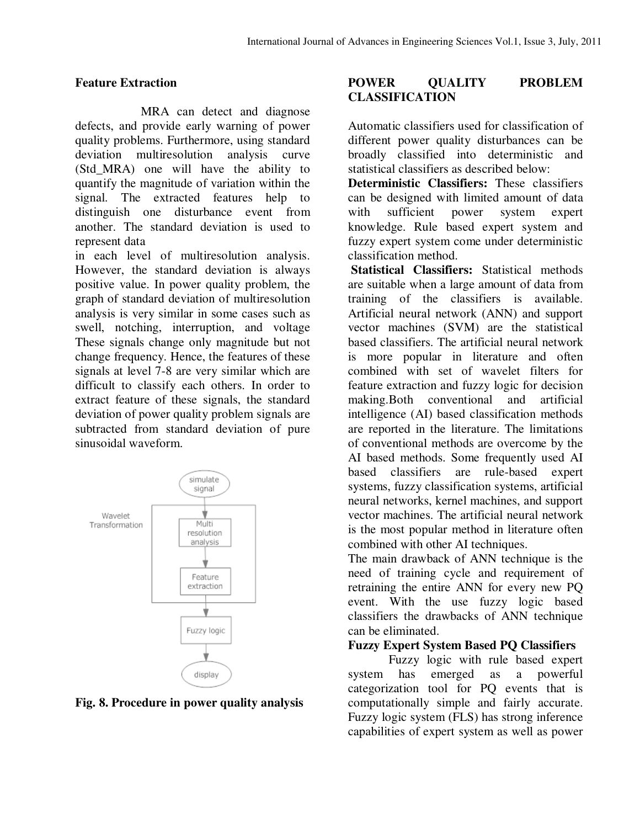# **Feature Extraction**

 MRA can detect and diagnose defects, and provide early warning of power quality problems. Furthermore, using standard deviation multiresolution analysis curve (Std\_MRA) one will have the ability to quantify the magnitude of variation within the signal. The extracted features help to distinguish one disturbance event from another. The standard deviation is used to represent data

in each level of multiresolution analysis. However, the standard deviation is always positive value. In power quality problem, the graph of standard deviation of multiresolution analysis is very similar in some cases such as swell, notching, interruption, and voltage These signals change only magnitude but not change frequency. Hence, the features of these signals at level 7-8 are very similar which are difficult to classify each others. In order to extract feature of these signals, the standard deviation of power quality problem signals are subtracted from standard deviation of pure sinusoidal waveform.



#### **Fig. 8. Procedure in power quality analysis**

# POWER OUALITY PROBLEM **CLASSIFICATION**

Automatic classifiers used for classification of different power quality disturbances can be broadly classified into deterministic and statistical classifiers as described below:

**Deterministic Classifiers:** These classifiers can be designed with limited amount of data with sufficient power system expert knowledge. Rule based expert system and fuzzy expert system come under deterministic classification method.

**Statistical Classifiers:** Statistical methods are suitable when a large amount of data from training of the classifiers is available. Artificial neural network (ANN) and support vector machines (SVM) are the statistical based classifiers. The artificial neural network is more popular in literature and often combined with set of wavelet filters for feature extraction and fuzzy logic for decision making.Both conventional and artificial intelligence (AI) based classification methods are reported in the literature. The limitations of conventional methods are overcome by the AI based methods. Some frequently used AI based classifiers are rule-based expert systems, fuzzy classification systems, artificial neural networks, kernel machines, and support vector machines. The artificial neural network is the most popular method in literature often combined with other AI techniques.

The main drawback of ANN technique is the need of training cycle and requirement of retraining the entire ANN for every new PQ event. With the use fuzzy logic based classifiers the drawbacks of ANN technique can be eliminated.

# **Fuzzy Expert System Based PQ Classifiers**

 Fuzzy logic with rule based expert system has emerged as a powerful categorization tool for PQ events that is computationally simple and fairly accurate. Fuzzy logic system (FLS) has strong inference capabilities of expert system as well as power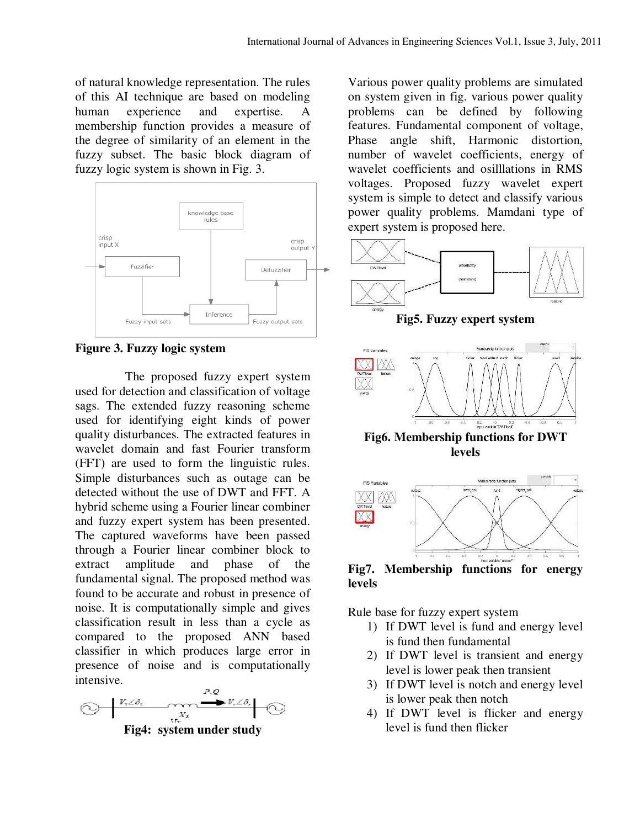of natural knowledge representation. The rules of this AI technique are based on modeling human experience and expertise. A membership function provides a measure of the degree of similarity of an element in the fuzzy subset. The basic block diagram of fuzzy logic system is shown in Fig. 3.



**Figure 3. Fuzzy logic system** 

 The proposed fuzzy expert system used for detection and classification of voltage sags. The extended fuzzy reasoning scheme used for identifying eight kinds of power quality disturbances. The extracted features in wavelet domain and fast Fourier transform (FFT) are used to form the linguistic rules. Simple disturbances such as outage can be detected without the use of DWT and FFT. A hybrid scheme using a Fourier linear combiner and fuzzy expert system has been presented. The captured waveforms have been passed through a Fourier linear combiner block to extract amplitude and phase of the fundamental signal. The proposed method was found to be accurate and robust in presence of noise. It is computationally simple and gives classification result in less than a cycle as compared to the proposed ANN based classifier in which produces large error in presence of noise and is computationally intensive.



Various power quality problems are simulated on system given in fig. various power quality problems can be defined by following features. Fundamental component of voltage, Phase angle shift, Harmonic distortion, number of wavelet coefficients, energy of wavelet coefficients and osilllations in RMS voltages. Proposed fuzzy wavelet expert system is simple to detect and classify various power quality problems. Mamdani type of expert system is proposed here.



**Fig5. Fuzzy expert system** 



**Fig6. Membership functions for DWT levels** 



**Fig7. Membership functions for energy levels** 

Rule base for fuzzy expert system

- 1) If DWT level is fund and energy level is fund then fundamental
- 2) If DWT level is transient and energy level is lower peak then transient
- 3) If DWT level is notch and energy level is lower peak then notch
- 4) If DWT level is flicker and energy level is fund then flicker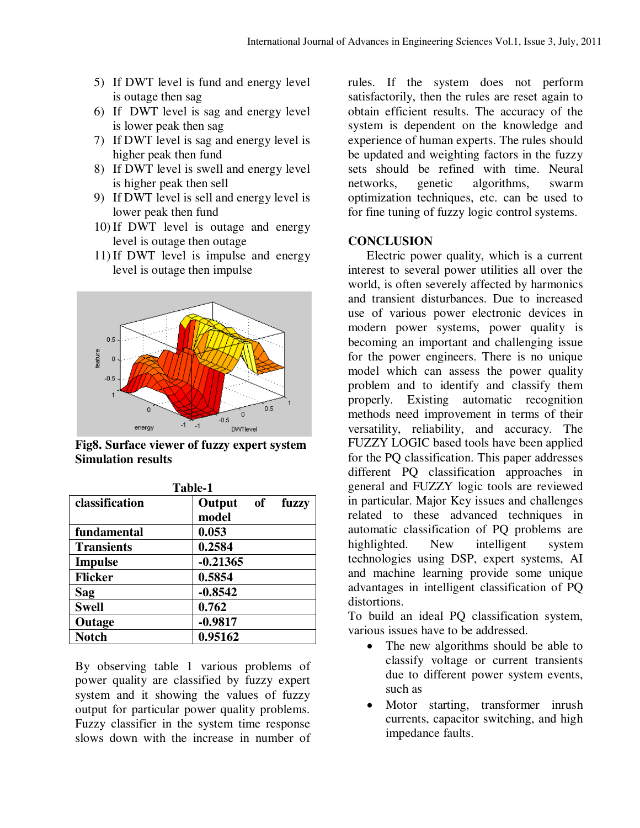- 5) If DWT level is fund and energy level is outage then sag
- 6) If DWT level is sag and energy level is lower peak then sag
- 7) If DWT level is sag and energy level is higher peak then fund
- 8) If DWT level is swell and energy level is higher peak then sell
- 9) If DWT level is sell and energy level is lower peak then fund
- 10) If DWT level is outage and energy level is outage then outage
- 11) If DWT level is impulse and energy level is outage then impulse



**Fig8. Surface viewer of fuzzy expert system Simulation results** 

| 1 aviv-1          |                                       |
|-------------------|---------------------------------------|
| classification    | Output<br><b>of</b><br>fuzzy<br>model |
| fundamental       | 0.053                                 |
| <b>Transients</b> | 0.2584                                |
| <b>Impulse</b>    | $-0.21365$                            |
| <b>Flicker</b>    | 0.5854                                |
| Sag               | $-0.8542$                             |
| <b>Swell</b>      | 0.762                                 |
| Outage            | $-0.9817$                             |
| <b>Notch</b>      | 0.95162                               |

**Table-1** 

By observing table 1 various problems of power quality are classified by fuzzy expert system and it showing the values of fuzzy output for particular power quality problems. Fuzzy classifier in the system time response slows down with the increase in number of rules. If the system does not perform satisfactorily, then the rules are reset again to obtain efficient results. The accuracy of the system is dependent on the knowledge and experience of human experts. The rules should be updated and weighting factors in the fuzzy sets should be refined with time. Neural networks, genetic algorithms, swarm optimization techniques, etc. can be used to for fine tuning of fuzzy logic control systems.

## **CONCLUSION**

 Electric power quality, which is a current interest to several power utilities all over the world, is often severely affected by harmonics and transient disturbances. Due to increased use of various power electronic devices in modern power systems, power quality is becoming an important and challenging issue for the power engineers. There is no unique model which can assess the power quality problem and to identify and classify them properly. Existing automatic recognition methods need improvement in terms of their versatility, reliability, and accuracy. The FUZZY LOGIC based tools have been applied for the PQ classification. This paper addresses different PQ classification approaches in general and FUZZY logic tools are reviewed in particular. Major Key issues and challenges related to these advanced techniques in automatic classification of PQ problems are highlighted. New intelligent system technologies using DSP, expert systems, AI and machine learning provide some unique advantages in intelligent classification of PQ distortions.

To build an ideal PQ classification system, various issues have to be addressed.

- The new algorithms should be able to classify voltage or current transients due to different power system events, such as
- Motor starting, transformer inrush currents, capacitor switching, and high impedance faults.